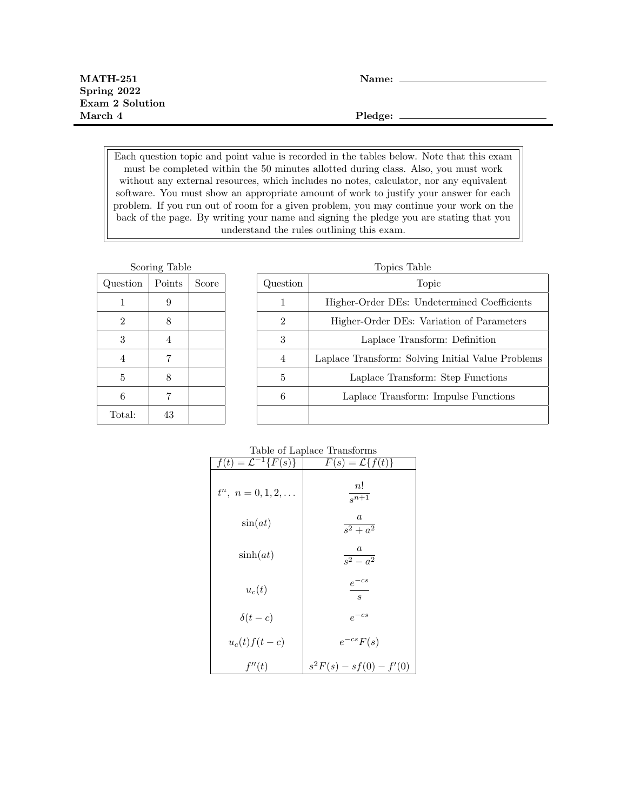Each question topic and point value is recorded in the tables below. Note that this exam must be completed within the 50 minutes allotted during class. Also, you must work without any external resources, which includes no notes, calculator, nor any equivalent software. You must show an appropriate amount of work to justify your answer for each problem. If you run out of room for a given problem, you may continue your work on the back of the page. By writing your name and signing the pledge you are stating that you understand the rules outlining this exam.

| Scoring Table  |        |       |
|----------------|--------|-------|
| Question       | Points | Score |
| 1              | 9      |       |
| $\overline{2}$ | 8      |       |
| 3              | 4      |       |
| 4              | 7      |       |
| 5              | 8      |       |
| 6              | 7      |       |
| Total:         | 43     |       |

| Topics Table |                                                   |  |
|--------------|---------------------------------------------------|--|
| Question     | Topic                                             |  |
| 1            | Higher-Order DEs: Undetermined Coefficients       |  |
| 2            | Higher-Order DEs: Variation of Parameters         |  |
| 3            | Laplace Transform: Definition                     |  |
| 4            | Laplace Transform: Solving Initial Value Problems |  |
| 5            | Laplace Transform: Step Functions                 |  |
| 6            | Laplace Transform: Impulse Functions              |  |
|              |                                                   |  |

## Table of Laplace Transforms

| $f(t) = \mathcal{L}^{-1}{F(s)}$ | $F(s) = \mathcal{L}{f(t)}$               |
|---------------------------------|------------------------------------------|
| $t^n$ , $n = 0, 1, 2, \ldots$   | n!<br>$\sqrt{s^{n+1}}$                   |
| $\sin(at)$                      | $\it a$<br>$\frac{1}{s^2 + a^2}$         |
| $\sinh(at)$                     | $\boldsymbol{a}$<br>$\frac{1}{s^2-a^2}$  |
| $u_c(t)$                        | $e^{-cs}$<br>$\mathcal{S}_{\mathcal{S}}$ |
| $\delta(t-c)$                   | $e^{-cs}$                                |
| $u_c(t) f(t-c)$                 | $e^{-cs}F(s)$                            |
| f''(t)                          | $s^2F(s) - sf(0) - f'(0)$                |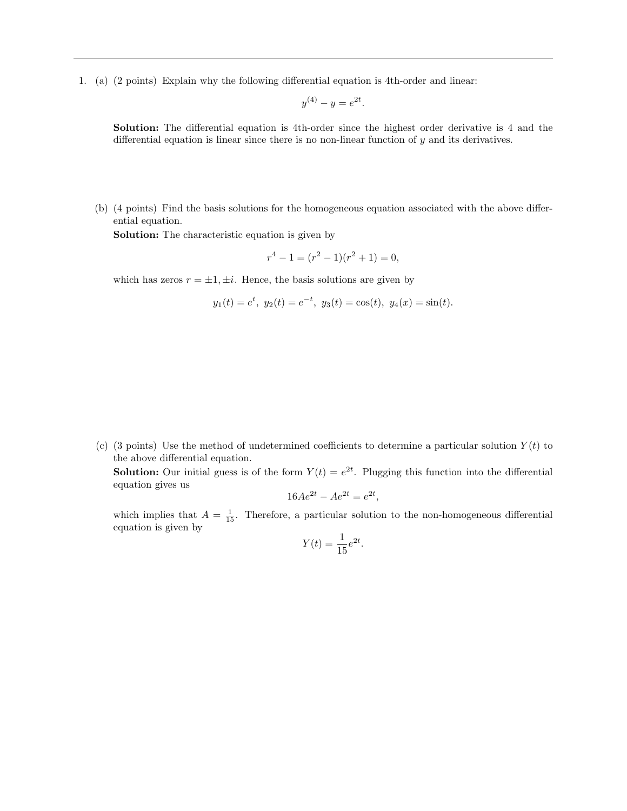1. (a) (2 points) Explain why the following differential equation is 4th-order and linear:

$$
y^{(4)} - y = e^{2t}.
$$

Solution: The differential equation is 4th-order since the highest order derivative is 4 and the differential equation is linear since there is no non-linear function of  $y$  and its derivatives.

(b) (4 points) Find the basis solutions for the homogeneous equation associated with the above differential equation.

Solution: The characteristic equation is given by

$$
r^4 - 1 = (r^2 - 1)(r^2 + 1) = 0,
$$

which has zeros  $r = \pm 1, \pm i$ . Hence, the basis solutions are given by

$$
y_1(t) = e^t
$$
,  $y_2(t) = e^{-t}$ ,  $y_3(t) = \cos(t)$ ,  $y_4(x) = \sin(t)$ .

(c) (3 points) Use the method of undetermined coefficients to determine a particular solution  $Y(t)$  to the above differential equation.

**Solution:** Our initial guess is of the form  $Y(t) = e^{2t}$ . Plugging this function into the differential equation gives us

$$
16Ae^{2t} - Ae^{2t} = e^{2t},
$$

which implies that  $A = \frac{1}{15}$ . Therefore, a particular solution to the non-homogeneous differential equation is given by

$$
Y(t) = \frac{1}{15}e^{2t}.
$$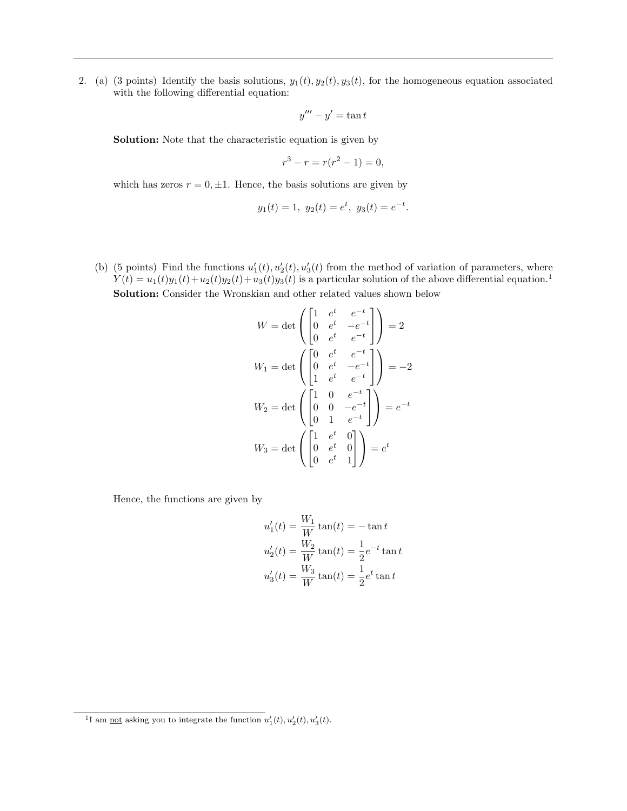2. (a) (3 points) Identify the basis solutions,  $y_1(t)$ ,  $y_2(t)$ ,  $y_3(t)$ , for the homogeneous equation associated with the following differential equation:

$$
y''' - y' = \tan t
$$

Solution: Note that the characteristic equation is given by

$$
r^3 - r = r(r^2 - 1) = 0,
$$

which has zeros  $r = 0, \pm 1$ . Hence, the basis solutions are given by

$$
y_1(t) = 1, y_2(t) = e^t, y_3(t) = e^{-t}.
$$

(b) (5 points) Find the functions  $u'_1(t), u'_2(t), u'_3(t)$  from the method of variation of parameters, where  $Y(t) = u_1(t)y_1(t) + u_2(t)y_2(t) + u_3(t)y_3(t)$  is a particular solution of the above differential equation.<sup>1</sup> Solution: Consider the Wronskian and other related values shown below

$$
W = \det \begin{pmatrix} 1 & e^t & e^{-t} \\ 0 & e^t & -e^{-t} \\ 0 & e^t & e^{-t} \end{pmatrix} = 2
$$
  
\n
$$
W_1 = \det \begin{pmatrix} 0 & e^t & e^{-t} \\ 0 & e^t & -e^{-t} \\ 1 & e^t & e^{-t} \end{pmatrix} = -2
$$
  
\n
$$
W_2 = \det \begin{pmatrix} 1 & 0 & e^{-t} \\ 0 & 0 & -e^{-t} \\ 0 & 1 & e^{-t} \end{pmatrix} = e^{-t}
$$
  
\n
$$
W_3 = \det \begin{pmatrix} 1 & e^t & 0 \\ 0 & e^t & 0 \\ 0 & e^t & 1 \end{pmatrix} = e^t
$$

Hence, the functions are given by

$$
u'_1(t) = \frac{W_1}{W} \tan(t) = -\tan t
$$
  

$$
u'_2(t) = \frac{W_2}{W} \tan(t) = \frac{1}{2} e^{-t} \tan t
$$
  

$$
u'_3(t) = \frac{W_3}{W} \tan(t) = \frac{1}{2} e^t \tan t
$$

<sup>&</sup>lt;sup>1</sup>I am <u>not</u> asking you to integrate the function  $u'_1(t)$ ,  $u'_2(t)$ ,  $u'_3(t)$ .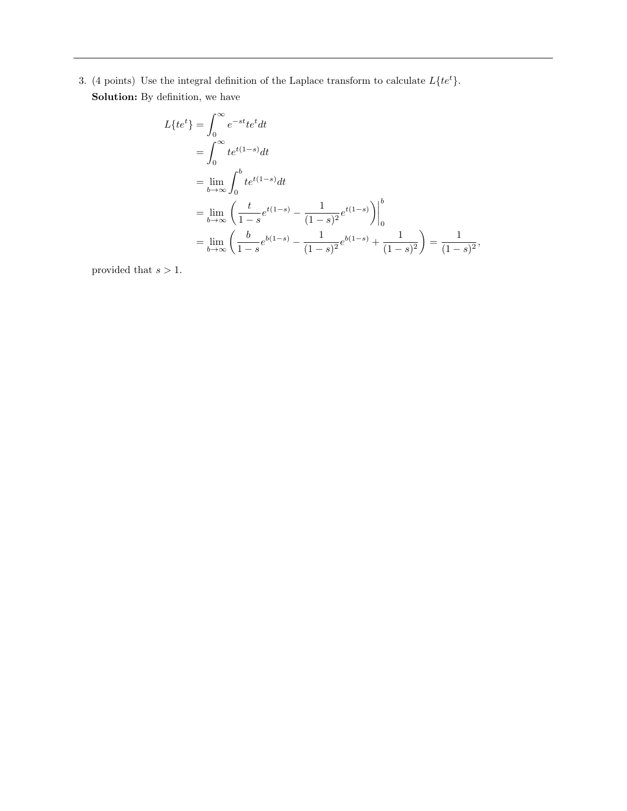3. (4 points) Use the integral definition of the Laplace transform to calculate  $L\{te^t\}$ . Solution: By definition, we have

$$
L\{te^{t}\} = \int_{0}^{\infty} e^{-st}te^{t}dt
$$
  
= 
$$
\int_{0}^{\infty} te^{t(1-s)}dt
$$
  
= 
$$
\lim_{b \to \infty} \int_{0}^{b} te^{t(1-s)}dt
$$
  
= 
$$
\lim_{b \to \infty} \left( \frac{t}{1-s} e^{t(1-s)} - \frac{1}{(1-s)^{2}} e^{t(1-s)} \right) \Big|_{0}^{b}
$$
  
= 
$$
\lim_{b \to \infty} \left( \frac{b}{1-s} e^{b(1-s)} - \frac{1}{(1-s)^{2}} e^{b(1-s)} + \frac{1}{(1-s)^{2}} \right) = \frac{1}{(1-s)^{2}},
$$

provided that  $s > 1.$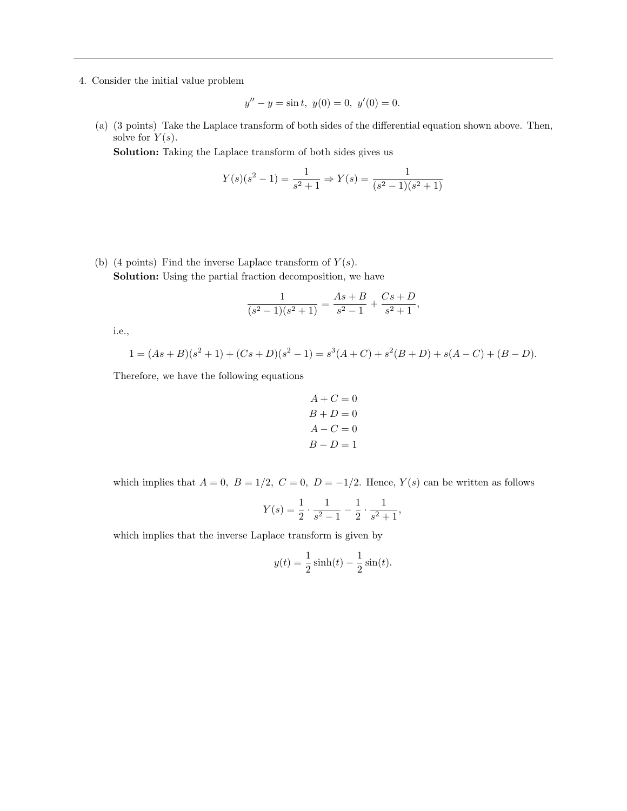4. Consider the initial value problem

$$
y'' - y = \sin t, \ y(0) = 0, \ y'(0) = 0.
$$

(a) (3 points) Take the Laplace transform of both sides of the differential equation shown above. Then, solve for  $Y(s)$ .

Solution: Taking the Laplace transform of both sides gives us

$$
Y(s)(s2 - 1) = \frac{1}{s2 + 1} \Rightarrow Y(s) = \frac{1}{(s2 - 1)(s2 + 1)}
$$

(b) (4 points) Find the inverse Laplace transform of  $Y(s)$ . Solution: Using the partial fraction decomposition, we have

$$
\frac{1}{(s^2-1)(s^2+1)} = \frac{As+B}{s^2-1} + \frac{Cs+D}{s^2+1},
$$

i.e.,

$$
1 = (As + B)(s2 + 1) + (Cs + D)(s2 – 1) = s3(A + C) + s2(B + D) + s(A – C) + (B – D).
$$

Therefore, we have the following equations

$$
A + C = 0
$$
  
\n
$$
B + D = 0
$$
  
\n
$$
A - C = 0
$$
  
\n
$$
B - D = 1
$$

which implies that  $A = 0$ ,  $B = 1/2$ ,  $C = 0$ ,  $D = -1/2$ . Hence,  $Y(s)$  can be written as follows

$$
Y(s) = \frac{1}{2} \cdot \frac{1}{s^2 - 1} - \frac{1}{2} \cdot \frac{1}{s^2 + 1},
$$

which implies that the inverse Laplace transform is given by

$$
y(t) = \frac{1}{2}\sinh(t) - \frac{1}{2}\sin(t).
$$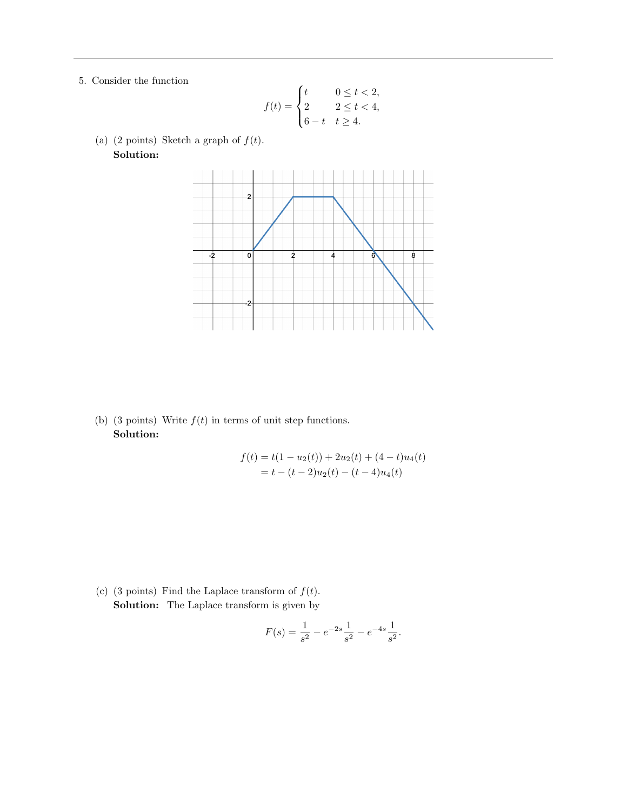5. Consider the function

$$
f(t) = \begin{cases} t & 0 \le t < 2, \\ 2 & 2 \le t < 4, \\ 6 - t & t \ge 4. \end{cases}
$$

(a) (2 points) Sketch a graph of  $f(t)$ . Solution:



(b) (3 points) Write  $f(t)$  in terms of unit step functions. Solution:

$$
f(t) = t(1 - u_2(t)) + 2u_2(t) + (4 - t)u_4(t)
$$
  
= t - (t - 2)u\_2(t) - (t - 4)u\_4(t)

(c) (3 points) Find the Laplace transform of  $f(t)$ . Solution: The Laplace transform is given by

$$
F(s) = \frac{1}{s^2} - e^{-2s} \frac{1}{s^2} - e^{-4s} \frac{1}{s^2}.
$$